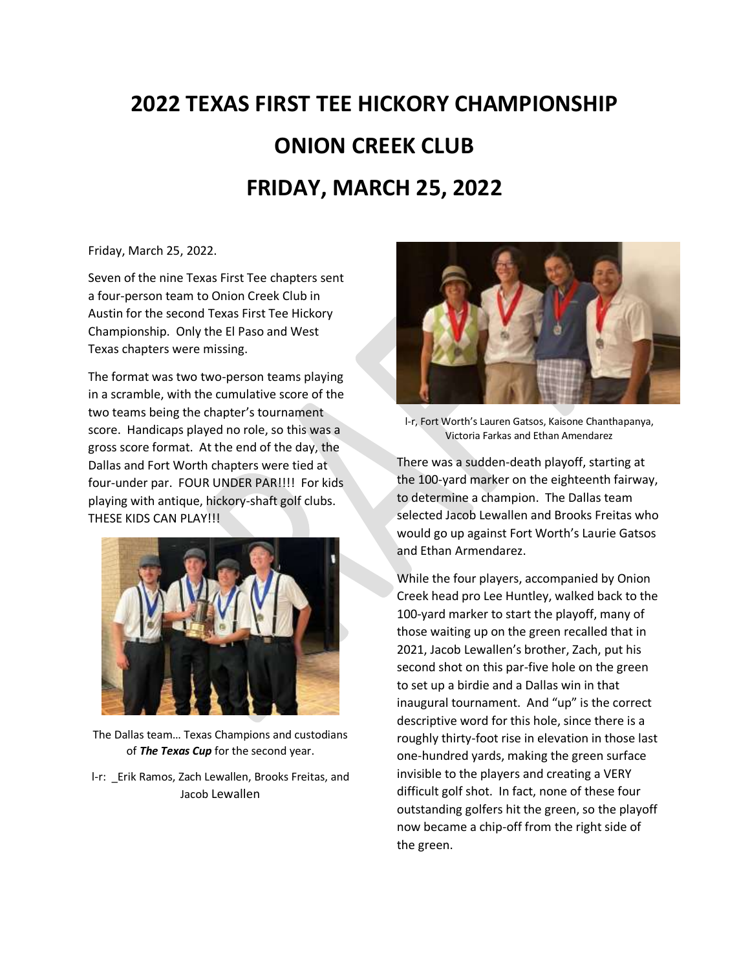## **2022 TEXAS FIRST TEE HICKORY CHAMPIONSHIP ONION CREEK CLUB FRIDAY, MARCH 25, 2022**

Friday, March 25, 2022.

Seven of the nine Texas First Tee chapters sent a four-person team to Onion Creek Club in Austin for the second Texas First Tee Hickory Championship. Only the El Paso and West Texas chapters were missing.

The format was two two-person teams playing in a scramble, with the cumulative score of the two teams being the chapter's tournament score. Handicaps played no role, so this was a gross score format. At the end of the day, the Dallas and Fort Worth chapters were tied at four-under par. FOUR UNDER PAR!!!! For kids playing with antique, hickory-shaft golf clubs. THESE KIDS CAN PLAY!!!



The Dallas team… Texas Champions and custodians of *The Texas Cup* for the second year.

l-r: \_Erik Ramos, Zach Lewallen, Brooks Freitas, and Jacob Lewallen



l-r, Fort Worth's Lauren Gatsos, Kaisone Chanthapanya, Victoria Farkas and Ethan Amendarez

There was a sudden-death playoff, starting at the 100-yard marker on the eighteenth fairway, to determine a champion. The Dallas team selected Jacob Lewallen and Brooks Freitas who would go up against Fort Worth's Laurie Gatsos and Ethan Armendarez.

While the four players, accompanied by Onion Creek head pro Lee Huntley, walked back to the 100-yard marker to start the playoff, many of those waiting up on the green recalled that in 2021, Jacob Lewallen's brother, Zach, put his second shot on this par-five hole on the green to set up a birdie and a Dallas win in that inaugural tournament. And "up" is the correct descriptive word for this hole, since there is a roughly thirty-foot rise in elevation in those last one-hundred yards, making the green surface invisible to the players and creating a VERY difficult golf shot. In fact, none of these four outstanding golfers hit the green, so the playoff now became a chip-off from the right side of the green.